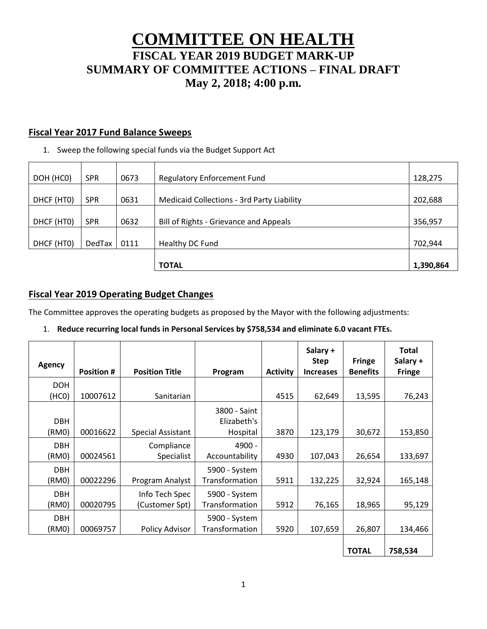# **COMMITTEE ON HEALTH FISCAL YEAR 2019 BUDGET MARK-UP SUMMARY OF COMMITTEE ACTIONS – FINAL DRAFT May 2, 2018; 4:00 p.m.**

## **Fiscal Year 2017 Fund Balance Sweeps**

1. Sweep the following special funds via the Budget Support Act

| DOH (HCO)  | <b>SPR</b>    | 0673 | <b>Regulatory Enforcement Fund</b>                | 128,275   |
|------------|---------------|------|---------------------------------------------------|-----------|
| DHCF (HTO) | <b>SPR</b>    | 0631 | <b>Medicaid Collections - 3rd Party Liability</b> | 202,688   |
| DHCF (HTO) | <b>SPR</b>    | 0632 | Bill of Rights - Grievance and Appeals            | 356,957   |
| DHCF (HTO) | <b>DedTax</b> | 0111 | Healthy DC Fund                                   | 702,944   |
|            |               |      | <b>TOTAL</b>                                      | 1,390,864 |

# **Fiscal Year 2019 Operating Budget Changes**

The Committee approves the operating budgets as proposed by the Mayor with the following adjustments:

#### 1. **Reduce recurring local funds in Personal Services by \$758,534 and eliminate 6.0 vacant FTEs.**

| <b>Agency</b> |                   |                       |                |                 | Salary +<br><b>Step</b> | <b>Fringe</b>   | <b>Total</b><br>Salary + |
|---------------|-------------------|-----------------------|----------------|-----------------|-------------------------|-----------------|--------------------------|
|               | <b>Position #</b> | <b>Position Title</b> | Program        | <b>Activity</b> | <b>Increases</b>        | <b>Benefits</b> | <b>Fringe</b>            |
| <b>DOH</b>    |                   |                       |                |                 |                         |                 |                          |
| (HCO)         | 10007612          | Sanitarian            |                | 4515            | 62,649                  | 13,595          | 76,243                   |
|               |                   |                       | 3800 - Saint   |                 |                         |                 |                          |
| <b>DBH</b>    |                   |                       | Elizabeth's    |                 |                         |                 |                          |
| (RM0)         | 00016622          | Special Assistant     | Hospital       | 3870            | 123,179                 | 30,672          | 153,850                  |
| <b>DBH</b>    |                   | Compliance            | 4900 -         |                 |                         |                 |                          |
| (RM0)         | 00024561          | Specialist            | Accountability | 4930            | 107,043                 | 26,654          | 133,697                  |
| <b>DBH</b>    |                   |                       | 5900 - System  |                 |                         |                 |                          |
| (RM0)         | 00022296          | Program Analyst       | Transformation | 5911            | 132,225                 | 32,924          | 165,148                  |
| <b>DBH</b>    |                   | Info Tech Spec        | 5900 - System  |                 |                         |                 |                          |
| (RM0)         | 00020795          | (Customer Spt)        | Transformation | 5912            | 76,165                  | 18,965          | 95,129                   |
| <b>DBH</b>    |                   |                       | 5900 - System  |                 |                         |                 |                          |
| (RM0)         | 00069757          | Policy Advisor        | Transformation | 5920            | 107,659                 | 26,807          | 134,466                  |
|               |                   |                       |                |                 |                         |                 |                          |
|               |                   |                       |                |                 |                         | <b>TOTAL</b>    | 758,534                  |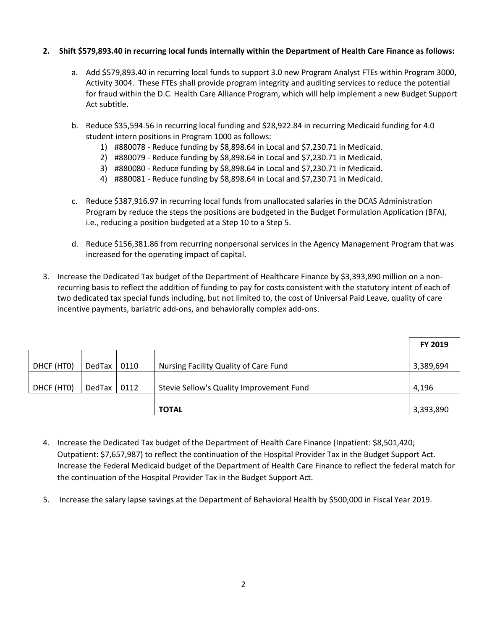#### **2. Shift \$579,893.40 in recurring local funds internally within the Department of Health Care Finance as follows:**

- a. Add \$579,893.40 in recurring local funds to support 3.0 new Program Analyst FTEs within Program 3000, Activity 3004. These FTEs shall provide program integrity and auditing services to reduce the potential for fraud within the D.C. Health Care Alliance Program, which will help implement a new Budget Support Act subtitle.
- b. Reduce \$35,594.56 in recurring local funding and \$28,922.84 in recurring Medicaid funding for 4.0 student intern positions in Program 1000 as follows:
	- 1) #880078 Reduce funding by \$8,898.64 in Local and \$7,230.71 in Medicaid.
	- 2) #880079 Reduce funding by \$8,898.64 in Local and \$7,230.71 in Medicaid.
	- 3) #880080 Reduce funding by \$8,898.64 in Local and \$7,230.71 in Medicaid.
	- 4) #880081 Reduce funding by \$8,898.64 in Local and \$7,230.71 in Medicaid.
- c. Reduce \$387,916.97 in recurring local funds from unallocated salaries in the DCAS Administration Program by reduce the steps the positions are budgeted in the Budget Formulation Application (BFA), i.e., reducing a position budgeted at a Step 10 to a Step 5.
- d. Reduce \$156,381.86 from recurring nonpersonal services in the Agency Management Program that was increased for the operating impact of capital.
- 3. Increase the Dedicated Tax budget of the Department of Healthcare Finance by \$3,393,890 million on a nonrecurring basis to reflect the addition of funding to pay for costs consistent with the statutory intent of each of two dedicated tax special funds including, but not limited to, the cost of Universal Paid Leave, quality of care incentive payments, bariatric add-ons, and behaviorally complex add-ons.

|            |        |      |                                          | FY 2019   |
|------------|--------|------|------------------------------------------|-----------|
|            |        |      |                                          |           |
| DHCF (HTO) | DedTax | 0110 | Nursing Facility Quality of Care Fund    | 3,389,694 |
|            |        |      |                                          |           |
| DHCF (HTO) | DedTax | 0112 | Stevie Sellow's Quality Improvement Fund | 4,196     |
|            |        |      |                                          |           |
|            |        |      | <b>TOTAL</b>                             | 3,393,890 |

- 4. Increase the Dedicated Tax budget of the Department of Health Care Finance (Inpatient: \$8,501,420; Outpatient: \$7,657,987) to reflect the continuation of the Hospital Provider Tax in the Budget Support Act. Increase the Federal Medicaid budget of the Department of Health Care Finance to reflect the federal match for the continuation of the Hospital Provider Tax in the Budget Support Act.
- 5. Increase the salary lapse savings at the Department of Behavioral Health by \$500,000 in Fiscal Year 2019.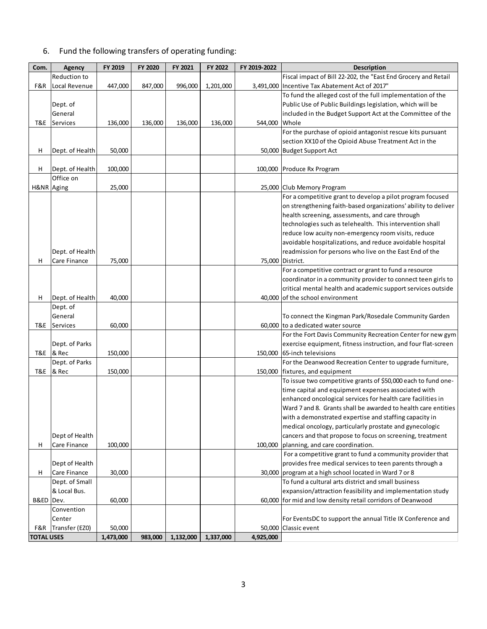# 6. Fund the following transfers of operating funding:

| Com.              | Agency          | FY 2019   | FY 2020 | FY 2021   | FY 2022   | FY 2019-2022 | <b>Description</b>                                             |
|-------------------|-----------------|-----------|---------|-----------|-----------|--------------|----------------------------------------------------------------|
|                   | Reduction to    |           |         |           |           |              | Fiscal impact of Bill 22-202, the "East End Grocery and Retail |
| F&R               | Local Revenue   | 447,000   | 847,000 | 996,000   | 1,201,000 |              | 3,491,000 Incentive Tax Abatement Act of 2017"                 |
|                   |                 |           |         |           |           |              | To fund the alleged cost of the full implementation of the     |
|                   | Dept. of        |           |         |           |           |              | Public Use of Public Buildings legislation, which will be      |
|                   | General         |           |         |           |           |              | included in the Budget Support Act at the Committee of the     |
| T&E               | Services        | 136,000   | 136,000 | 136,000   | 136,000   | 544,000      | Whole                                                          |
|                   |                 |           |         |           |           |              | For the purchase of opioid antagonist rescue kits pursuant     |
|                   |                 |           |         |           |           |              | section XX10 of the Opioid Abuse Treatment Act in the          |
| н                 | Dept. of Health | 50,000    |         |           |           |              | 50,000 Budget Support Act                                      |
|                   |                 |           |         |           |           |              |                                                                |
| н                 | Dept. of Health | 100,000   |         |           |           |              | 100,000 Produce Rx Program                                     |
|                   | Office on       |           |         |           |           |              |                                                                |
| H&NR Aging        |                 | 25,000    |         |           |           |              | 25,000 Club Memory Program                                     |
|                   |                 |           |         |           |           |              | For a competitive grant to develop a pilot program focused     |
|                   |                 |           |         |           |           |              | on strengthening faith-based organizations' ability to deliver |
|                   |                 |           |         |           |           |              | health screening, assessments, and care through                |
|                   |                 |           |         |           |           |              | technologies such as telehealth. This intervention shall       |
|                   |                 |           |         |           |           |              | reduce low acuity non-emergency room visits, reduce            |
|                   |                 |           |         |           |           |              | avoidable hospitalizations, and reduce avoidable hospital      |
|                   | Dept. of Health |           |         |           |           |              | readmission for persons who live on the East End of the        |
| н                 | Care Finance    | 75,000    |         |           |           |              | 75,000 District.                                               |
|                   |                 |           |         |           |           |              | For a competitive contract or grant to fund a resource         |
|                   |                 |           |         |           |           |              | coordinator in a community provider to connect teen girls to   |
|                   |                 |           |         |           |           |              | critical mental health and academic support services outside   |
| H                 | Dept. of Health | 40,000    |         |           |           |              | 40,000 of the school environment                               |
|                   | Dept. of        |           |         |           |           |              |                                                                |
|                   | General         |           |         |           |           |              | To connect the Kingman Park/Rosedale Community Garden          |
| T&E               | Services        | 60,000    |         |           |           |              | 60,000 to a dedicated water source                             |
|                   |                 |           |         |           |           |              | For the Fort Davis Community Recreation Center for new gym     |
|                   | Dept. of Parks  |           |         |           |           |              | exercise equipment, fitness instruction, and four flat-screen  |
| T&E               | & Rec           | 150,000   |         |           |           |              | 150,000 65-inch televisions                                    |
|                   | Dept. of Parks  |           |         |           |           |              | For the Deanwood Recreation Center to upgrade furniture,       |
| T&E               | & Rec           | 150,000   |         |           |           |              | 150,000   fixtures, and equipment                              |
|                   |                 |           |         |           |           |              | To issue two competitive grants of \$50,000 each to fund one-  |
|                   |                 |           |         |           |           |              | time capital and equipment expenses associated with            |
|                   |                 |           |         |           |           |              | enhanced oncological services for health care facilities in    |
|                   |                 |           |         |           |           |              | Ward 7 and 8. Grants shall be awarded to health care entities  |
|                   |                 |           |         |           |           |              | with a demonstrated expertise and staffing capacity in         |
|                   |                 |           |         |           |           |              | medical oncology, particularly prostate and gynecologic        |
|                   | Dept of Health  |           |         |           |           |              | cancers and that propose to focus on screening, treatment      |
| Н                 | Care Finance    | 100,000   |         |           |           |              | 100,000 planning, and care coordination.                       |
|                   |                 |           |         |           |           |              | For a competitive grant to fund a community provider that      |
|                   | Dept of Health  |           |         |           |           |              | provides free medical services to teen parents through a       |
| н                 | Care Finance    | 30,000    |         |           |           |              | 30,000 program at a high school located in Ward 7 or 8         |
|                   | Dept. of Small  |           |         |           |           |              | To fund a cultural arts district and small business            |
|                   | & Local Bus.    |           |         |           |           |              | expansion/attraction feasibility and implementation study      |
| B&ED              | Dev.            | 60,000    |         |           |           |              | 60,000 for mid and low density retail corridors of Deanwood    |
|                   | Convention      |           |         |           |           |              |                                                                |
|                   | Center          |           |         |           |           |              | For EventsDC to support the annual Title IX Conference and     |
| F&R               | Transfer (EZ0)  | 50,000    |         |           |           |              | 50,000 Classic event                                           |
| <b>TOTAL USES</b> |                 | 1,473,000 | 983,000 | 1,132,000 | 1,337,000 | 4,925,000    |                                                                |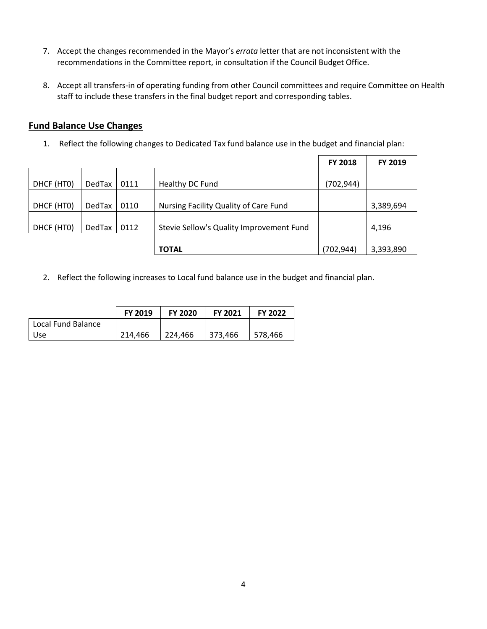- 7. Accept the changes recommended in the Mayor's *errata* letter that are not inconsistent with the recommendations in the Committee report, in consultation if the Council Budget Office.
- 8. Accept all transfers-in of operating funding from other Council committees and require Committee on Health staff to include these transfers in the final budget report and corresponding tables.

## **Fund Balance Use Changes**

1. Reflect the following changes to Dedicated Tax fund balance use in the budget and financial plan:

|            |               |      |                                          | <b>FY 2018</b> | FY 2019   |
|------------|---------------|------|------------------------------------------|----------------|-----------|
|            |               |      |                                          |                |           |
| DHCF (HTO) | <b>DedTax</b> | 0111 | Healthy DC Fund                          | (702,944)      |           |
|            |               |      |                                          |                |           |
| DHCF (HTO) | <b>DedTax</b> | 0110 | Nursing Facility Quality of Care Fund    |                | 3,389,694 |
|            |               |      |                                          |                |           |
| DHCF (HTO) | <b>DedTax</b> | 0112 | Stevie Sellow's Quality Improvement Fund |                | 4,196     |
|            |               |      |                                          |                |           |
|            |               |      | <b>TOTAL</b>                             | (702, 944)     | 3,393,890 |

2. Reflect the following increases to Local fund balance use in the budget and financial plan.

|                    | FY 2019 | <b>FY 2020</b> | <b>FY 2021</b> | <b>FY 2022</b> |
|--------------------|---------|----------------|----------------|----------------|
| Local Fund Balance |         |                |                |                |
| <b>Use</b>         | 214,466 | 224.466        | 373.466        | 578,466        |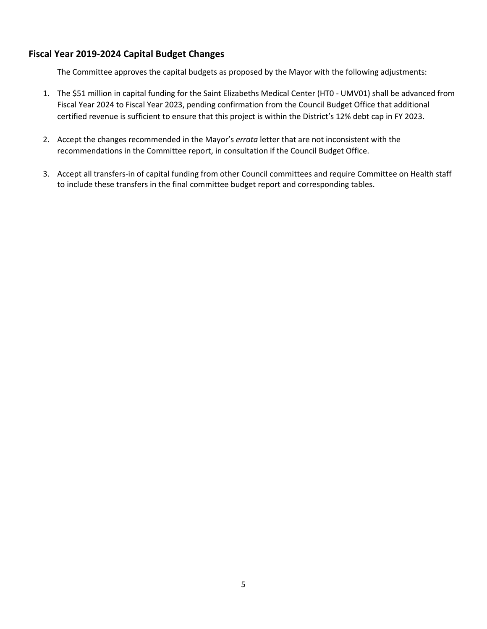# **Fiscal Year 2019-2024 Capital Budget Changes**

The Committee approves the capital budgets as proposed by the Mayor with the following adjustments:

- 1. The \$51 million in capital funding for the Saint Elizabeths Medical Center (HT0 UMV01) shall be advanced from Fiscal Year 2024 to Fiscal Year 2023, pending confirmation from the Council Budget Office that additional certified revenue is sufficient to ensure that this project is within the District's 12% debt cap in FY 2023.
- 2. Accept the changes recommended in the Mayor's *errata* letter that are not inconsistent with the recommendations in the Committee report, in consultation if the Council Budget Office.
- 3. Accept all transfers-in of capital funding from other Council committees and require Committee on Health staff to include these transfers in the final committee budget report and corresponding tables.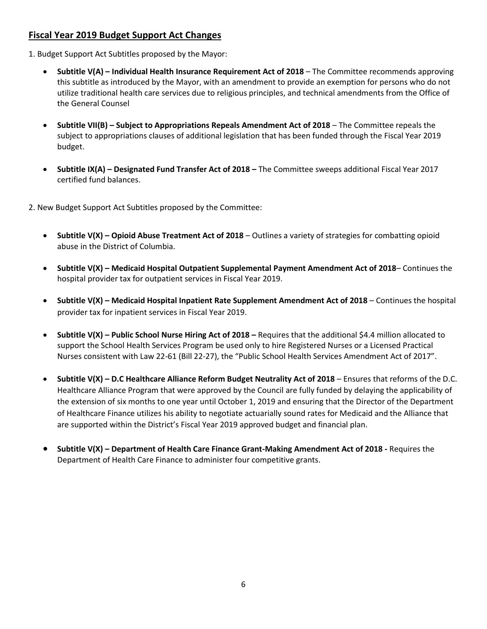# **Fiscal Year 2019 Budget Support Act Changes**

- 1. Budget Support Act Subtitles proposed by the Mayor:
	- **Subtitle V(A) – Individual Health Insurance Requirement Act of 2018** The Committee recommends approving this subtitle as introduced by the Mayor, with an amendment to provide an exemption for persons who do not utilize traditional health care services due to religious principles, and technical amendments from the Office of the General Counsel
	- **Subtitle VII(B) – Subject to Appropriations Repeals Amendment Act of 2018**  The Committee repeals the subject to appropriations clauses of additional legislation that has been funded through the Fiscal Year 2019 budget.
	- **Subtitle IX(A) – Designated Fund Transfer Act of 2018 –** The Committee sweeps additional Fiscal Year 2017 certified fund balances.

2. New Budget Support Act Subtitles proposed by the Committee:

- **Subtitle V(X) – Opioid Abuse Treatment Act of 2018**  Outlines a variety of strategies for combatting opioid abuse in the District of Columbia.
- **Subtitle V(X) – Medicaid Hospital Outpatient Supplemental Payment Amendment Act of 2018** Continues the hospital provider tax for outpatient services in Fiscal Year 2019.
- **Subtitle V(X) – Medicaid Hospital Inpatient Rate Supplement Amendment Act of 2018** Continues the hospital provider tax for inpatient services in Fiscal Year 2019.
- **Subtitle V(X) – Public School Nurse Hiring Act of 2018 –** Requires that the additional \$4.4 million allocated to support the School Health Services Program be used only to hire Registered Nurses or a Licensed Practical Nurses consistent with Law 22-61 (Bill 22-27), the "Public School Health Services Amendment Act of 2017".
- **Subtitle V(X) – D.C Healthcare Alliance Reform Budget Neutrality Act of 2018**  Ensures that reforms of the D.C. Healthcare Alliance Program that were approved by the Council are fully funded by delaying the applicability of the extension of six months to one year until October 1, 2019 and ensuring that the Director of the Department of Healthcare Finance utilizes his ability to negotiate actuarially sound rates for Medicaid and the Alliance that are supported within the District's Fiscal Year 2019 approved budget and financial plan.
- **Subtitle V(X) – Department of Health Care Finance Grant-Making Amendment Act of 2018 -** Requires the Department of Health Care Finance to administer four competitive grants.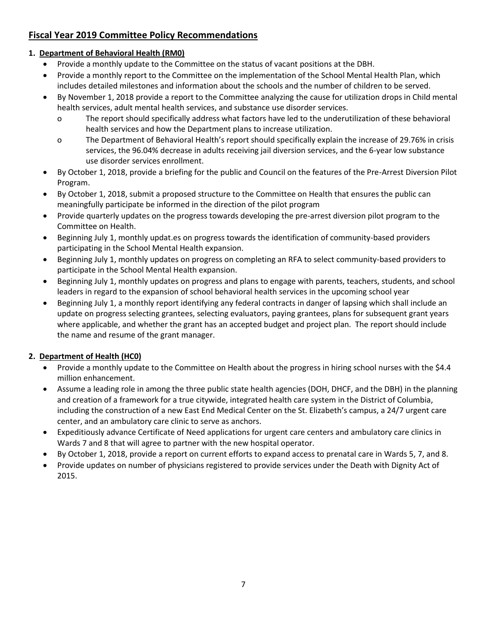# **Fiscal Year 2019 Committee Policy Recommendations**

## **1. Department of Behavioral Health (RM0)**

- Provide a monthly update to the Committee on the status of vacant positions at the DBH.
- Provide a monthly report to the Committee on the implementation of the School Mental Health Plan, which includes detailed milestones and information about the schools and the number of children to be served.
- By November 1, 2018 provide a report to the Committee analyzing the cause for utilization drops in Child mental health services, adult mental health services, and substance use disorder services.
	- o The report should specifically address what factors have led to the underutilization of these behavioral health services and how the Department plans to increase utilization.
	- o The Department of Behavioral Health's report should specifically explain the increase of 29.76% in crisis services, the 96.04% decrease in adults receiving jail diversion services, and the 6-year low substance use disorder services enrollment.
- By October 1, 2018, provide a briefing for the public and Council on the features of the Pre-Arrest Diversion Pilot Program.
- By October 1, 2018, submit a proposed structure to the Committee on Health that ensures the public can meaningfully participate be informed in the direction of the pilot program
- Provide quarterly updates on the progress towards developing the pre-arrest diversion pilot program to the Committee on Health.
- Beginning July 1, monthly updat.es on progress towards the identification of community-based providers participating in the School Mental Health expansion.
- Beginning July 1, monthly updates on progress on completing an RFA to select community-based providers to participate in the School Mental Health expansion.
- Beginning July 1, monthly updates on progress and plans to engage with parents, teachers, students, and school leaders in regard to the expansion of school behavioral health services in the upcoming school year
- Beginning July 1, a monthly report identifying any federal contracts in danger of lapsing which shall include an update on progress selecting grantees, selecting evaluators, paying grantees, plans for subsequent grant years where applicable, and whether the grant has an accepted budget and project plan. The report should include the name and resume of the grant manager.

# **2. Department of Health (HC0)**

- Provide a monthly update to the Committee on Health about the progress in hiring school nurses with the \$4.4 million enhancement.
- Assume a leading role in among the three public state health agencies (DOH, DHCF, and the DBH) in the planning and creation of a framework for a true citywide, integrated health care system in the District of Columbia, including the construction of a new East End Medical Center on the St. Elizabeth's campus, a 24/7 urgent care center, and an ambulatory care clinic to serve as anchors.
- Expeditiously advance Certificate of Need applications for urgent care centers and ambulatory care clinics in Wards 7 and 8 that will agree to partner with the new hospital operator.
- By October 1, 2018, provide a report on current efforts to expand access to prenatal care in Wards 5, 7, and 8.
- Provide updates on number of physicians registered to provide services under the Death with Dignity Act of 2015.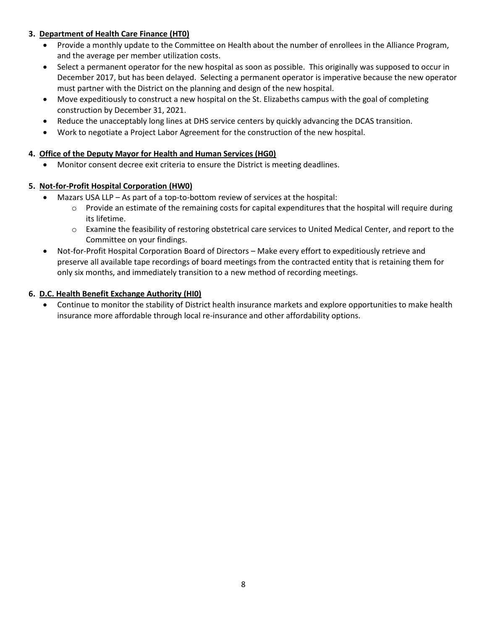#### **3. Department of Health Care Finance (HT0)**

- Provide a monthly update to the Committee on Health about the number of enrollees in the Alliance Program, and the average per member utilization costs.
- Select a permanent operator for the new hospital as soon as possible. This originally was supposed to occur in December 2017, but has been delayed. Selecting a permanent operator is imperative because the new operator must partner with the District on the planning and design of the new hospital.
- Move expeditiously to construct a new hospital on the St. Elizabeths campus with the goal of completing construction by December 31, 2021.
- Reduce the unacceptably long lines at DHS service centers by quickly advancing the DCAS transition.
- Work to negotiate a Project Labor Agreement for the construction of the new hospital.

#### **4. Office of the Deputy Mayor for Health and Human Services (HG0)**

• Monitor consent decree exit criteria to ensure the District is meeting deadlines.

# **5. Not-for-Profit Hospital Corporation (HW0)**

- Mazars USA LLP As part of a top-to-bottom review of services at the hospital:
	- $\circ$  Provide an estimate of the remaining costs for capital expenditures that the hospital will require during its lifetime.
	- o Examine the feasibility of restoring obstetrical care services to United Medical Center, and report to the Committee on your findings.
- Not-for-Profit Hospital Corporation Board of Directors Make every effort to expeditiously retrieve and preserve all available tape recordings of board meetings from the contracted entity that is retaining them for only six months, and immediately transition to a new method of recording meetings.

#### **6. D.C. Health Benefit Exchange Authority (HI0)**

• Continue to monitor the stability of District health insurance markets and explore opportunities to make health insurance more affordable through local re-insurance and other affordability options.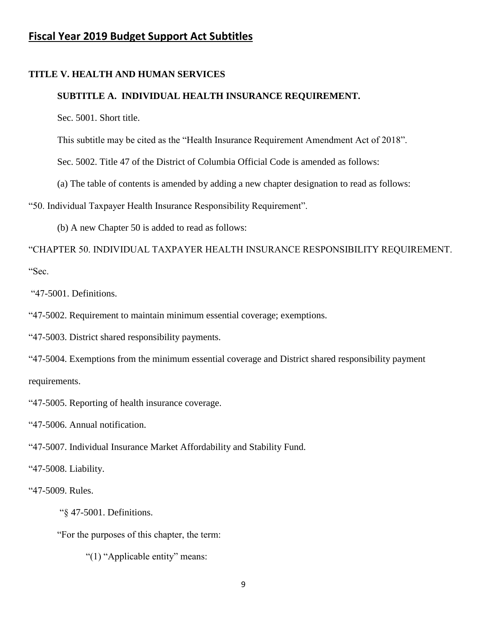# **Fiscal Year 2019 Budget Support Act Subtitles**

#### **TITLE V. HEALTH AND HUMAN SERVICES**

#### **SUBTITLE A. INDIVIDUAL HEALTH INSURANCE REQUIREMENT.**

Sec. 5001. Short title.

This subtitle may be cited as the "Health Insurance Requirement Amendment Act of 2018".

Sec. 5002. Title 47 of the District of Columbia Official Code is amended as follows:

(a) The table of contents is amended by adding a new chapter designation to read as follows:

"50. Individual Taxpayer Health Insurance Responsibility Requirement".

(b) A new Chapter 50 is added to read as follows:

"CHAPTER 50. INDIVIDUAL TAXPAYER HEALTH INSURANCE RESPONSIBILITY REQUIREMENT. "Sec.

"47-5001. Definitions.

"47-5002. Requirement to maintain minimum essential coverage; exemptions.

"47-5003. District shared responsibility payments.

"47-5004. Exemptions from the minimum essential coverage and District shared responsibility payment requirements.

"47-5005. Reporting of health insurance coverage.

"47-5006. Annual notification.

"47-5007. Individual Insurance Market Affordability and Stability Fund.

"47-5008. Liability.

"47-5009. Rules.

"§ 47-5001. Definitions.

"For the purposes of this chapter, the term:

"(1) "Applicable entity" means: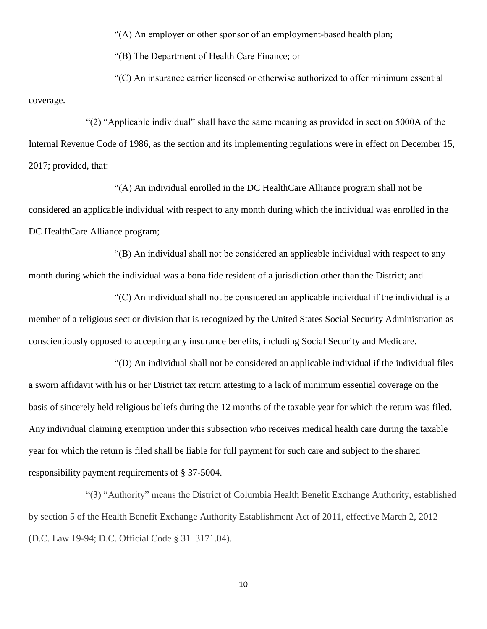"(A) An employer or other sponsor of an employment-based health plan;

"(B) The Department of Health Care Finance; or

"(C) An insurance carrier licensed or otherwise authorized to offer minimum essential coverage.

"(2) "Applicable individual" shall have the same meaning as provided in section 5000A of the Internal Revenue Code of 1986, as the section and its implementing regulations were in effect on December 15, 2017; provided, that:

"(A) An individual enrolled in the DC HealthCare Alliance program shall not be considered an applicable individual with respect to any month during which the individual was enrolled in the DC HealthCare Alliance program;

"(B) An individual shall not be considered an applicable individual with respect to any month during which the individual was a bona fide resident of a jurisdiction other than the District; and

"(C) An individual shall not be considered an applicable individual if the individual is a member of a religious sect or division that is recognized by the United States Social Security Administration as conscientiously opposed to accepting any insurance benefits, including Social Security and Medicare.

"(D) An individual shall not be considered an applicable individual if the individual files a sworn affidavit with his or her District tax return attesting to a lack of minimum essential coverage on the basis of sincerely held religious beliefs during the 12 months of the taxable year for which the return was filed. Any individual claiming exemption under this subsection who receives medical health care during the taxable year for which the return is filed shall be liable for full payment for such care and subject to the shared responsibility payment requirements of § 37-5004.

"(3) "Authority" means the District of Columbia Health Benefit Exchange Authority, established by section 5 of the Health Benefit Exchange Authority Establishment Act of 2011, effective March 2, 2012 (D.C. Law 19-94; D.C. Official Code § 31–3171.04).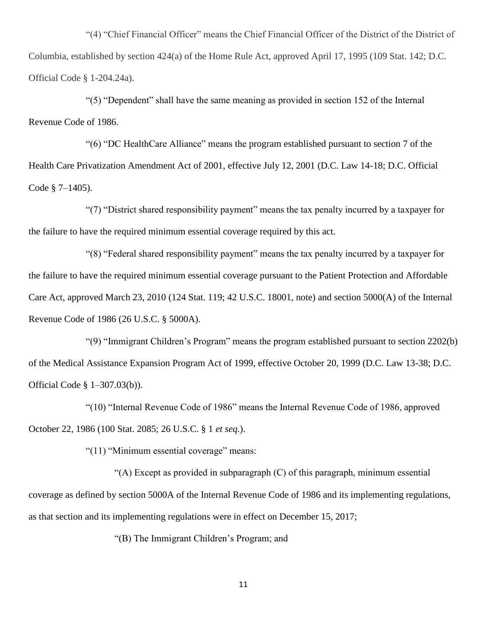"(4) "Chief Financial Officer" means the Chief Financial Officer of the District of the District of Columbia, established by section 424(a) of the Home Rule Act, approved April 17, 1995 (109 Stat. 142; D.C. Official Code § 1-204.24a).

"(5) "Dependent" shall have the same meaning as provided in section 152 of the Internal Revenue Code of 1986.

"(6) "DC HealthCare Alliance" means the program established pursuant to section 7 of the Health Care Privatization Amendment Act of 2001, effective July 12, 2001 (D.C. Law 14-18; D.C. Official Code § 7–1405).

"(7) "District shared responsibility payment" means the tax penalty incurred by a taxpayer for the failure to have the required minimum essential coverage required by this act.

"(8) "Federal shared responsibility payment" means the tax penalty incurred by a taxpayer for the failure to have the required minimum essential coverage pursuant to the Patient Protection and Affordable Care Act, approved March 23, 2010 (124 Stat. 119; 42 U.S.C. 18001, note) and section 5000(A) of the Internal Revenue Code of 1986 (26 U.S.C. § 5000A).

"(9) "Immigrant Children's Program" means the program established pursuant to section 2202(b) of the Medical Assistance Expansion Program Act of 1999, effective October 20, 1999 (D.C. Law 13-38; D.C. Official Code § 1–307.03(b)).

"(10) "Internal Revenue Code of 1986" means the Internal Revenue Code of 1986, approved October 22, 1986 (100 Stat. 2085; 26 U.S.C. § 1 *et seq.*).

"(11) "Minimum essential coverage" means:

"(A) Except as provided in subparagraph (C) of this paragraph, minimum essential coverage as defined by section 5000A of the Internal Revenue Code of 1986 and its implementing regulations, as that section and its implementing regulations were in effect on December 15, 2017;

"(B) The Immigrant Children's Program; and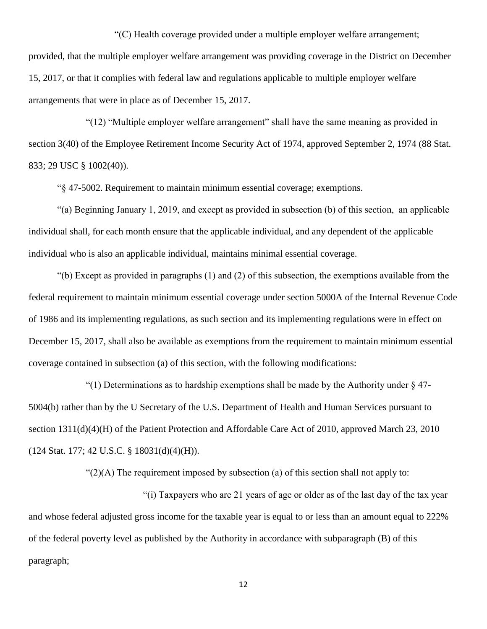"(C) Health coverage provided under a multiple employer welfare arrangement; provided, that the multiple employer welfare arrangement was providing coverage in the District on December 15, 2017, or that it complies with federal law and regulations applicable to multiple employer welfare arrangements that were in place as of December 15, 2017.

"(12) "Multiple employer welfare arrangement" shall have the same meaning as provided in section 3(40) of the Employee Retirement Income Security Act of 1974, approved September 2, 1974 (88 Stat. 833; 29 USC § 1002(40)).

"§ 47-5002. Requirement to maintain minimum essential coverage; exemptions.

"(a) Beginning January 1, 2019, and except as provided in subsection (b) of this section, an applicable individual shall, for each month ensure that the applicable individual, and any dependent of the applicable individual who is also an applicable individual, maintains minimal essential coverage.

"(b) Except as provided in paragraphs (1) and (2) of this subsection, the exemptions available from the federal requirement to maintain minimum essential coverage under section 5000A of the Internal Revenue Code of 1986 and its implementing regulations, as such section and its implementing regulations were in effect on December 15, 2017, shall also be available as exemptions from the requirement to maintain minimum essential coverage contained in subsection (a) of this section, with the following modifications:

"(1) Determinations as to hardship exemptions shall be made by the Authority under  $\S$  47-5004(b) rather than by the U Secretary of the U.S. Department of Health and Human Services pursuant to section 1311(d)(4)(H) of the Patient Protection and Affordable Care Act of 2010, approved March 23, 2010 (124 Stat. 177; 42 U.S.C. § 18031(d)(4)(H)).

" $(2)$ (A) The requirement imposed by subsection (a) of this section shall not apply to:

"(i) Taxpayers who are 21 years of age or older as of the last day of the tax year and whose federal adjusted gross income for the taxable year is equal to or less than an amount equal to 222% of the federal poverty level as published by the Authority in accordance with subparagraph (B) of this paragraph;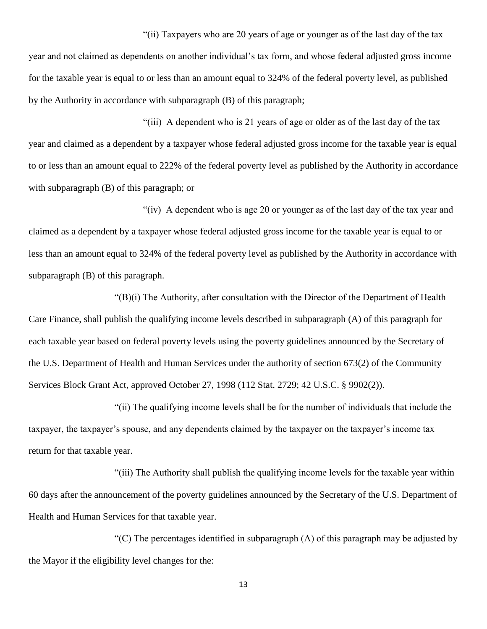"(ii) Taxpayers who are 20 years of age or younger as of the last day of the tax year and not claimed as dependents on another individual's tax form, and whose federal adjusted gross income for the taxable year is equal to or less than an amount equal to 324% of the federal poverty level, as published by the Authority in accordance with subparagraph (B) of this paragraph;

"(iii) A dependent who is 21 years of age or older as of the last day of the tax year and claimed as a dependent by a taxpayer whose federal adjusted gross income for the taxable year is equal to or less than an amount equal to 222% of the federal poverty level as published by the Authority in accordance with subparagraph (B) of this paragraph; or

"(iv) A dependent who is age 20 or younger as of the last day of the tax year and claimed as a dependent by a taxpayer whose federal adjusted gross income for the taxable year is equal to or less than an amount equal to 324% of the federal poverty level as published by the Authority in accordance with subparagraph (B) of this paragraph.

"(B)(i) The Authority, after consultation with the Director of the Department of Health Care Finance, shall publish the qualifying income levels described in subparagraph (A) of this paragraph for each taxable year based on federal poverty levels using the poverty guidelines announced by the Secretary of the U.S. Department of Health and Human Services under the authority of section 673(2) of the Community Services Block Grant Act, approved October 27, 1998 (112 Stat. 2729; 42 U.S.C. § 9902(2)).

"(ii) The qualifying income levels shall be for the number of individuals that include the taxpayer, the taxpayer's spouse, and any dependents claimed by the taxpayer on the taxpayer's income tax return for that taxable year.

"(iii) The Authority shall publish the qualifying income levels for the taxable year within 60 days after the announcement of the poverty guidelines announced by the Secretary of the U.S. Department of Health and Human Services for that taxable year.

"(C) The percentages identified in subparagraph  $(A)$  of this paragraph may be adjusted by the Mayor if the eligibility level changes for the: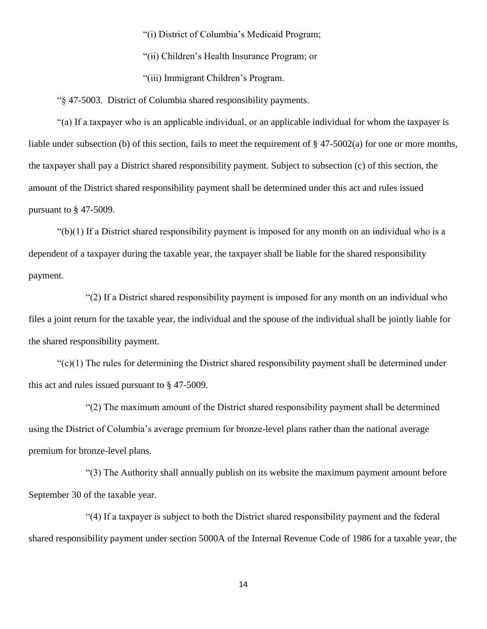"(i) District of Columbia's Medicaid Program;

"(ii) Children's Health Insurance Program; or

"(iii) Immigrant Children's Program.

"§ 47-5003. District of Columbia shared responsibility payments.

"(a) If a taxpayer who is an applicable individual, or an applicable individual for whom the taxpayer is liable under subsection (b) of this section, fails to meet the requirement of § 47-5002(a) for one or more months, the taxpayer shall pay a District shared responsibility payment. Subject to subsection (c) of this section, the amount of the District shared responsibility payment shall be determined under this act and rules issued pursuant to § 47-5009.

" $(b)(1)$  If a District shared responsibility payment is imposed for any month on an individual who is a dependent of a taxpayer during the taxable year, the taxpayer shall be liable for the shared responsibility payment.

"(2) If a District shared responsibility payment is imposed for any month on an individual who files a joint return for the taxable year, the individual and the spouse of the individual shall be jointly liable for the shared responsibility payment.

 $\degree$ (c)(1) The rules for determining the District shared responsibility payment shall be determined under this act and rules issued pursuant to § 47-5009.

"(2) The maximum amount of the District shared responsibility payment shall be determined using the District of Columbia's average premium for bronze-level plans rather than the national average premium for bronze-level plans.

"(3) The Authority shall annually publish on its website the maximum payment amount before September 30 of the taxable year.

"(4) If a taxpayer is subject to both the District shared responsibility payment and the federal shared responsibility payment under section 5000A of the Internal Revenue Code of 1986 for a taxable year, the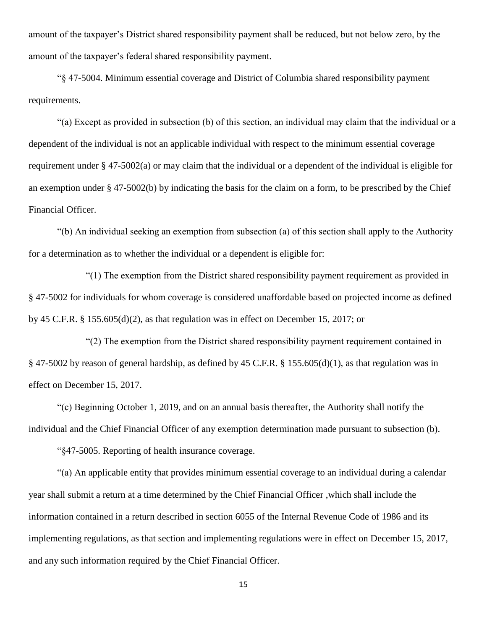amount of the taxpayer's District shared responsibility payment shall be reduced, but not below zero, by the amount of the taxpayer's federal shared responsibility payment.

"§ 47-5004. Minimum essential coverage and District of Columbia shared responsibility payment requirements.

"(a) Except as provided in subsection (b) of this section, an individual may claim that the individual or a dependent of the individual is not an applicable individual with respect to the minimum essential coverage requirement under § 47-5002(a) or may claim that the individual or a dependent of the individual is eligible for an exemption under § 47-5002(b) by indicating the basis for the claim on a form, to be prescribed by the Chief Financial Officer.

"(b) An individual seeking an exemption from subsection (a) of this section shall apply to the Authority for a determination as to whether the individual or a dependent is eligible for:

"(1) The exemption from the District shared responsibility payment requirement as provided in § 47-5002 for individuals for whom coverage is considered unaffordable based on projected income as defined by 45 C.F.R. § 155.605(d)(2), as that regulation was in effect on December 15, 2017; or

"(2) The exemption from the District shared responsibility payment requirement contained in § 47-5002 by reason of general hardship, as defined by 45 C.F.R. § 155.605(d)(1), as that regulation was in effect on December 15, 2017.

"(c) Beginning October 1, 2019, and on an annual basis thereafter, the Authority shall notify the individual and the Chief Financial Officer of any exemption determination made pursuant to subsection (b).

"§47-5005. Reporting of health insurance coverage.

"(a) An applicable entity that provides minimum essential coverage to an individual during a calendar year shall submit a return at a time determined by the Chief Financial Officer ,which shall include the information contained in a return described in section 6055 of the Internal Revenue Code of 1986 and its implementing regulations, as that section and implementing regulations were in effect on December 15, 2017, and any such information required by the Chief Financial Officer.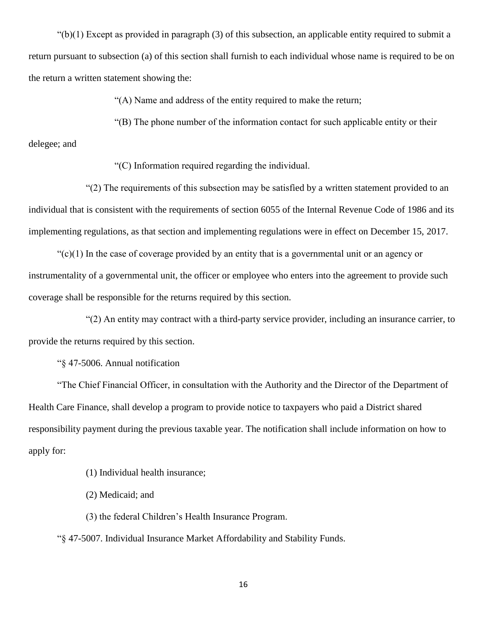$"(b)(1)$  Except as provided in paragraph (3) of this subsection, an applicable entity required to submit a return pursuant to subsection (a) of this section shall furnish to each individual whose name is required to be on the return a written statement showing the:

"(A) Name and address of the entity required to make the return;

"(B) The phone number of the information contact for such applicable entity or their

#### delegee; and

"(C) Information required regarding the individual.

"(2) The requirements of this subsection may be satisfied by a written statement provided to an individual that is consistent with the requirements of section 6055 of the Internal Revenue Code of 1986 and its implementing regulations, as that section and implementing regulations were in effect on December 15, 2017.

 $\mathcal{C}(c)(1)$  In the case of coverage provided by an entity that is a governmental unit or an agency or instrumentality of a governmental unit, the officer or employee who enters into the agreement to provide such coverage shall be responsible for the returns required by this section.

"(2) An entity may contract with a third-party service provider, including an insurance carrier, to provide the returns required by this section.

"§ 47-5006. Annual notification

"The Chief Financial Officer, in consultation with the Authority and the Director of the Department of Health Care Finance, shall develop a program to provide notice to taxpayers who paid a District shared responsibility payment during the previous taxable year. The notification shall include information on how to apply for:

(1) Individual health insurance;

(2) Medicaid; and

(3) the federal Children's Health Insurance Program.

"§ 47-5007. Individual Insurance Market Affordability and Stability Funds.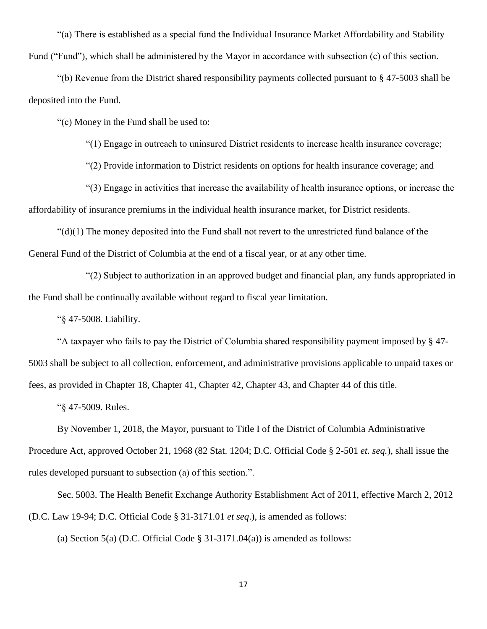"(a) There is established as a special fund the Individual Insurance Market Affordability and Stability Fund ("Fund"), which shall be administered by the Mayor in accordance with subsection (c) of this section.

"(b) Revenue from the District shared responsibility payments collected pursuant to § 47-5003 shall be deposited into the Fund.

"(c) Money in the Fund shall be used to:

"(1) Engage in outreach to uninsured District residents to increase health insurance coverage;

"(2) Provide information to District residents on options for health insurance coverage; and

"(3) Engage in activities that increase the availability of health insurance options, or increase the affordability of insurance premiums in the individual health insurance market, for District residents.

 $"(d)(1)$  The money deposited into the Fund shall not revert to the unrestricted fund balance of the General Fund of the District of Columbia at the end of a fiscal year, or at any other time.

"(2) Subject to authorization in an approved budget and financial plan, any funds appropriated in the Fund shall be continually available without regard to fiscal year limitation.

"§ 47-5008. Liability.

"A taxpayer who fails to pay the District of Columbia shared responsibility payment imposed by § 47- 5003 shall be subject to all collection, enforcement, and administrative provisions applicable to unpaid taxes or fees, as provided in Chapter 18, Chapter 41, Chapter 42, Chapter 43, and Chapter 44 of this title.

"§ 47-5009. Rules.

By November 1, 2018, the Mayor, pursuant to Title I of the District of Columbia Administrative Procedure Act, approved October 21, 1968 (82 Stat. 1204; D.C. Official Code § 2-501 *et. seq.*), shall issue the rules developed pursuant to subsection (a) of this section.".

Sec. 5003. The Health Benefit Exchange Authority Establishment Act of 2011, effective March 2, 2012 (D.C. Law 19-94; D.C. Official Code § 31-3171.01 *et seq*.), is amended as follows:

(a) Section 5(a) (D.C. Official Code  $\S$  31-3171.04(a)) is amended as follows: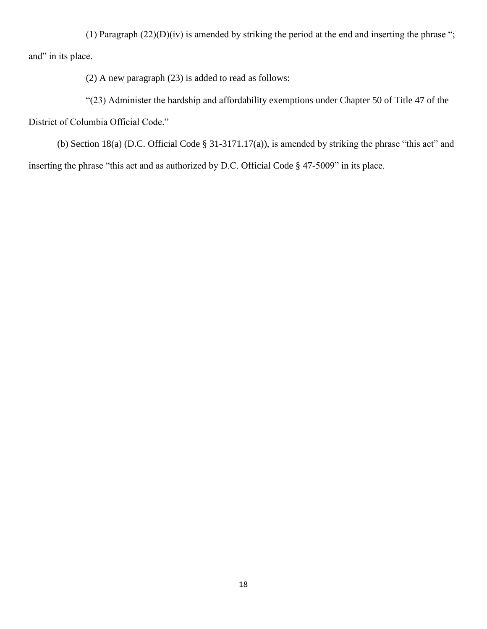(1) Paragraph  $(22)(D)(iv)$  is amended by striking the period at the end and inserting the phrase "; and" in its place.

(2) A new paragraph (23) is added to read as follows:

"(23) Administer the hardship and affordability exemptions under Chapter 50 of Title 47 of the

District of Columbia Official Code."

(b) Section 18(a) (D.C. Official Code § 31-3171.17(a)), is amended by striking the phrase "this act" and inserting the phrase "this act and as authorized by D.C. Official Code § 47-5009" in its place.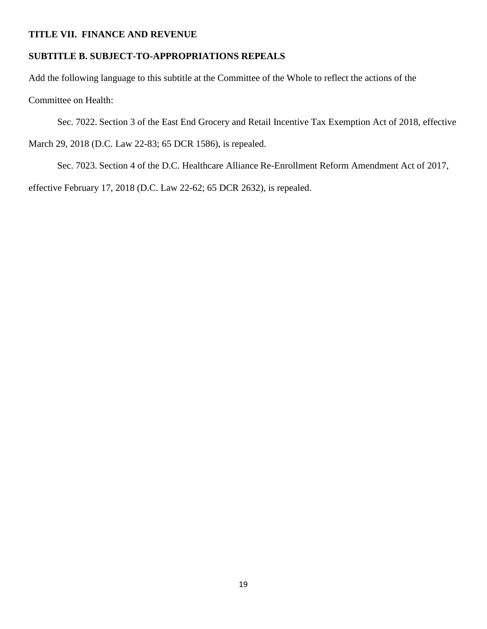#### **TITLE VII. FINANCE AND REVENUE**

#### **SUBTITLE B. SUBJECT-TO-APPROPRIATIONS REPEALS**

Add the following language to this subtitle at the Committee of the Whole to reflect the actions of the Committee on Health:

Sec. 7022. Section 3 of the East End Grocery and Retail Incentive Tax Exemption Act of 2018, effective March 29, 2018 (D.C. Law 22-83; 65 DCR 1586), is repealed.

Sec. 7023. Section 4 of the D.C. Healthcare Alliance Re-Enrollment Reform Amendment Act of 2017, effective February 17, 2018 (D.C. Law 22-62; 65 DCR 2632), is repealed.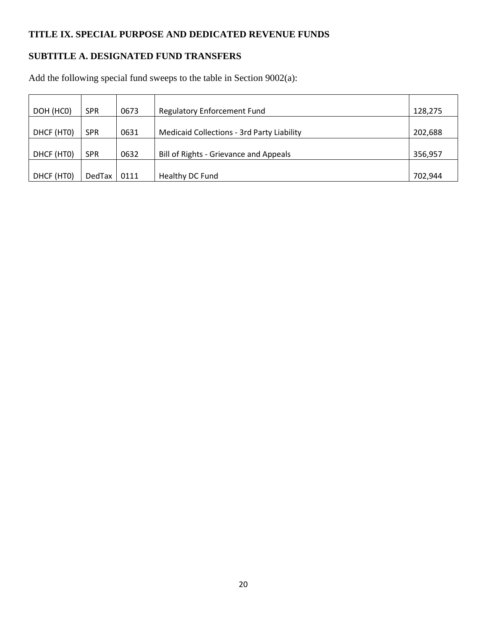# **TITLE IX. SPECIAL PURPOSE AND DEDICATED REVENUE FUNDS**

# **SUBTITLE A. DESIGNATED FUND TRANSFERS**

Add the following special fund sweeps to the table in Section 9002(a):

| DOH (HCO)  | <b>SPR</b>    | 0673 | <b>Regulatory Enforcement Fund</b>                | 128,275 |
|------------|---------------|------|---------------------------------------------------|---------|
|            |               |      |                                                   |         |
| DHCF (HTO) | <b>SPR</b>    | 0631 | <b>Medicaid Collections - 3rd Party Liability</b> | 202,688 |
|            |               |      |                                                   |         |
| DHCF (HTO) | <b>SPR</b>    | 0632 | Bill of Rights - Grievance and Appeals            | 356,957 |
|            |               |      |                                                   |         |
| DHCF (HTO) | <b>DedTax</b> | 0111 | Healthy DC Fund                                   | 702,944 |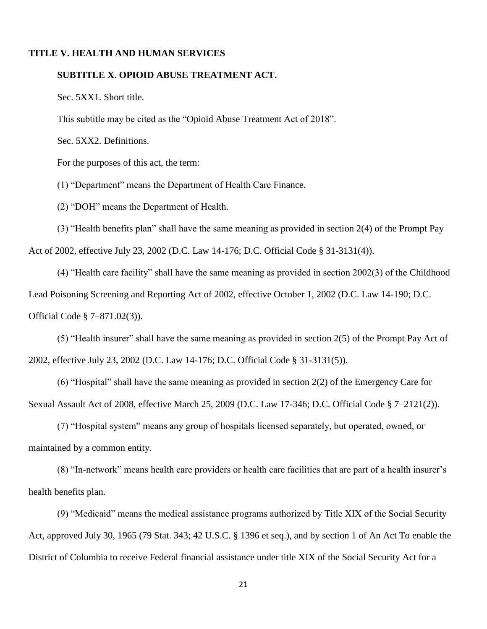#### **SUBTITLE X. OPIOID ABUSE TREATMENT ACT.**

Sec. 5XX1. Short title.

This subtitle may be cited as the "Opioid Abuse Treatment Act of 2018".

Sec. 5XX2. Definitions.

For the purposes of this act, the term:

(1) "Department" means the Department of Health Care Finance.

(2) "DOH" means the Department of Health.

(3) "Health benefits plan" shall have the same meaning as provided in section 2(4) of the Prompt Pay Act of 2002, effective July 23, 2002 (D.C. Law 14-176; D.C. Official Code § 31-3131(4)).

(4) "Health care facility" shall have the same meaning as provided in section 2002(3) of the Childhood Lead Poisoning Screening and Reporting Act of 2002, effective October 1, 2002 (D.C. Law 14-190; D.C. Official Code § 7–871.02(3)).

(5) "Health insurer" shall have the same meaning as provided in section 2(5) of the Prompt Pay Act of 2002, effective July 23, 2002 (D.C. Law 14-176; D.C. Official Code § 31-3131(5)).

(6) "Hospital" shall have the same meaning as provided in section 2(2) of the Emergency Care for Sexual Assault Act of 2008, effective March 25, 2009 (D.C. Law 17-346; D.C. Official Code § 7–2121(2)).

(7) "Hospital system" means any group of hospitals licensed separately, but operated, owned, or maintained by a common entity.

(8) "In-network" means health care providers or health care facilities that are part of a health insurer's health benefits plan.

(9) "Medicaid" means the medical assistance programs authorized by Title XIX of the Social Security Act, approved July 30, 1965 (79 Stat. 343; 42 U.S.C. § 1396 et seq.), and by section 1 of An Act To enable the District of Columbia to receive Federal financial assistance under title XIX of the Social Security Act for a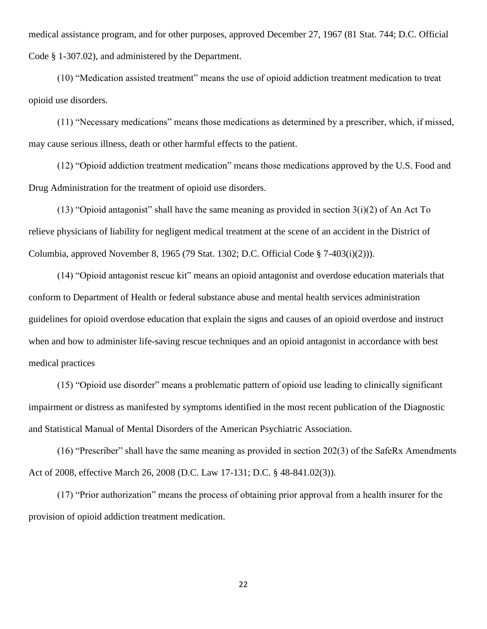medical assistance program, and for other purposes, approved December 27, 1967 (81 Stat. 744; D.C. Official Code § 1-307.02), and administered by the Department.

(10) "Medication assisted treatment" means the use of opioid addiction treatment medication to treat opioid use disorders.

(11) "Necessary medications" means those medications as determined by a prescriber, which, if missed, may cause serious illness, death or other harmful effects to the patient.

(12) "Opioid addiction treatment medication" means those medications approved by the U.S. Food and Drug Administration for the treatment of opioid use disorders.

(13) "Opioid antagonist" shall have the same meaning as provided in section  $3(i)(2)$  of An Act To relieve physicians of liability for negligent medical treatment at the scene of an accident in the District of Columbia, approved November 8, 1965 (79 Stat. 1302; D.C. Official Code § 7-403(i)(2))).

(14) "Opioid antagonist rescue kit" means an opioid antagonist and overdose education materials that conform to Department of Health or federal substance abuse and mental health services administration guidelines for opioid overdose education that explain the signs and causes of an opioid overdose and instruct when and how to administer life-saving rescue techniques and an opioid antagonist in accordance with best medical practices

(15) "Opioid use disorder" means a problematic pattern of opioid use leading to clinically significant impairment or distress as manifested by symptoms identified in the most recent publication of the Diagnostic and Statistical Manual of Mental Disorders of the American Psychiatric Association.

(16) "Prescriber" shall have the same meaning as provided in section 202(3) of the SafeRx Amendments Act of 2008, effective March 26, 2008 (D.C. Law 17-131; D.C. § 48-841.02(3)).

(17) "Prior authorization" means the process of obtaining prior approval from a health insurer for the provision of opioid addiction treatment medication.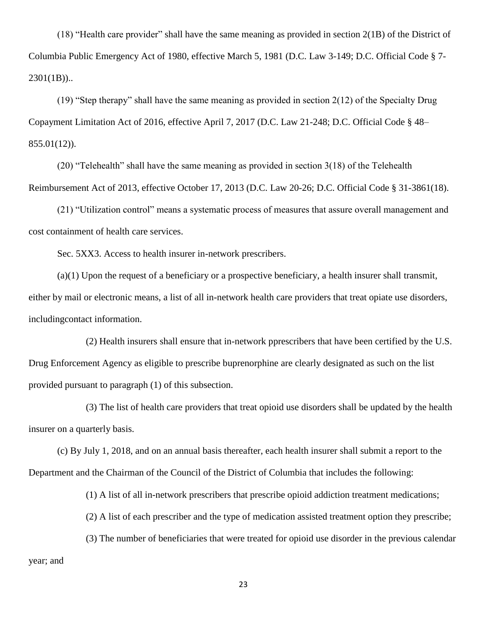(18) "Health care provider" shall have the same meaning as provided in section 2(1B) of the District of Columbia Public Emergency Act of 1980, effective March 5, 1981 (D.C. Law 3-149; D.C. Official Code § 7- 2301(1B))..

(19) "Step therapy" shall have the same meaning as provided in section 2(12) of the Specialty Drug Copayment Limitation Act of 2016, effective April 7, 2017 (D.C. Law 21-248; D.C. Official Code § 48–  $855.01(12)$ .

(20) "Telehealth" shall have the same meaning as provided in section 3(18) of the Telehealth Reimbursement Act of 2013, effective October 17, 2013 (D.C. Law 20-26; D.C. Official Code § 31-3861(18).

(21) "Utilization control" means a systematic process of measures that assure overall management and cost containment of health care services.

Sec. 5XX3. Access to health insurer in-network prescribers.

(a)(1) Upon the request of a beneficiary or a prospective beneficiary, a health insurer shall transmit, either by mail or electronic means, a list of all in-network health care providers that treat opiate use disorders, includingcontact information.

(2) Health insurers shall ensure that in-network pprescribers that have been certified by the U.S. Drug Enforcement Agency as eligible to prescribe buprenorphine are clearly designated as such on the list provided pursuant to paragraph (1) of this subsection.

(3) The list of health care providers that treat opioid use disorders shall be updated by the health insurer on a quarterly basis.

(c) By July 1, 2018, and on an annual basis thereafter, each health insurer shall submit a report to the Department and the Chairman of the Council of the District of Columbia that includes the following:

(1) A list of all in-network prescribers that prescribe opioid addiction treatment medications;

(2) A list of each prescriber and the type of medication assisted treatment option they prescribe;

(3) The number of beneficiaries that were treated for opioid use disorder in the previous calendar year; and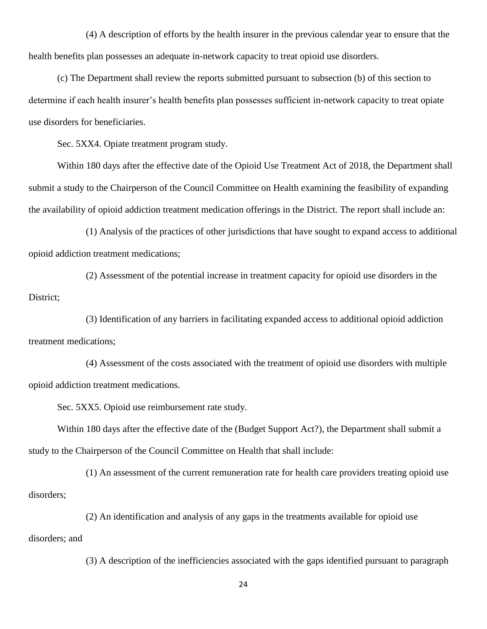(4) A description of efforts by the health insurer in the previous calendar year to ensure that the health benefits plan possesses an adequate in-network capacity to treat opioid use disorders.

(c) The Department shall review the reports submitted pursuant to subsection (b) of this section to determine if each health insurer's health benefits plan possesses sufficient in-network capacity to treat opiate use disorders for beneficiaries.

Sec. 5XX4. Opiate treatment program study.

Within 180 days after the effective date of the Opioid Use Treatment Act of 2018, the Department shall submit a study to the Chairperson of the Council Committee on Health examining the feasibility of expanding the availability of opioid addiction treatment medication offerings in the District. The report shall include an:

(1) Analysis of the practices of other jurisdictions that have sought to expand access to additional opioid addiction treatment medications;

(2) Assessment of the potential increase in treatment capacity for opioid use disorders in the District;

(3) Identification of any barriers in facilitating expanded access to additional opioid addiction treatment medications;

(4) Assessment of the costs associated with the treatment of opioid use disorders with multiple opioid addiction treatment medications.

Sec. 5XX5. Opioid use reimbursement rate study.

Within 180 days after the effective date of the (Budget Support Act?), the Department shall submit a study to the Chairperson of the Council Committee on Health that shall include:

(1) An assessment of the current remuneration rate for health care providers treating opioid use disorders;

(2) An identification and analysis of any gaps in the treatments available for opioid use disorders; and

(3) A description of the inefficiencies associated with the gaps identified pursuant to paragraph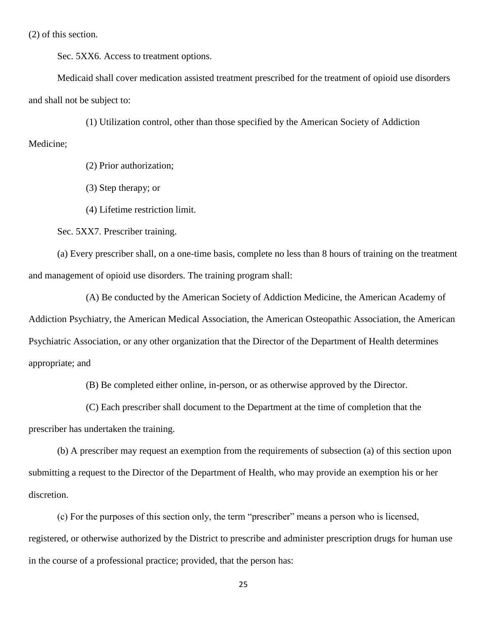(2) of this section.

Sec. 5XX6. Access to treatment options.

Medicaid shall cover medication assisted treatment prescribed for the treatment of opioid use disorders and shall not be subject to:

(1) Utilization control, other than those specified by the American Society of Addiction

Medicine;

(2) Prior authorization;

(3) Step therapy; or

(4) Lifetime restriction limit.

Sec. 5XX7. Prescriber training.

(a) Every prescriber shall, on a one-time basis, complete no less than 8 hours of training on the treatment and management of opioid use disorders. The training program shall:

(A) Be conducted by the American Society of Addiction Medicine, the American Academy of Addiction Psychiatry, the American Medical Association, the American Osteopathic Association, the American Psychiatric Association, or any other organization that the Director of the Department of Health determines appropriate; and

(B) Be completed either online, in-person, or as otherwise approved by the Director.

(C) Each prescriber shall document to the Department at the time of completion that the prescriber has undertaken the training.

(b) A prescriber may request an exemption from the requirements of subsection (a) of this section upon submitting a request to the Director of the Department of Health, who may provide an exemption his or her discretion.

(c) For the purposes of this section only, the term "prescriber" means a person who is licensed, registered, or otherwise authorized by the District to prescribe and administer prescription drugs for human use in the course of a professional practice; provided, that the person has: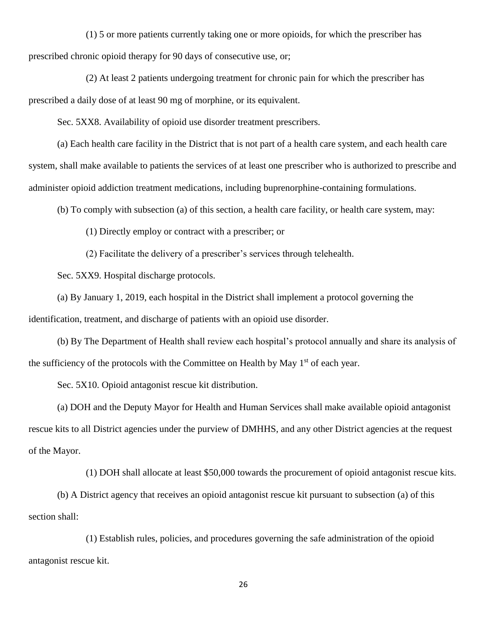(1) 5 or more patients currently taking one or more opioids, for which the prescriber has prescribed chronic opioid therapy for 90 days of consecutive use, or;

(2) At least 2 patients undergoing treatment for chronic pain for which the prescriber has prescribed a daily dose of at least 90 mg of morphine, or its equivalent.

Sec. 5XX8. Availability of opioid use disorder treatment prescribers.

(a) Each health care facility in the District that is not part of a health care system, and each health care system, shall make available to patients the services of at least one prescriber who is authorized to prescribe and administer opioid addiction treatment medications, including buprenorphine-containing formulations.

(b) To comply with subsection (a) of this section, a health care facility, or health care system, may:

(1) Directly employ or contract with a prescriber; or

(2) Facilitate the delivery of a prescriber's services through telehealth.

Sec. 5XX9. Hospital discharge protocols.

(a) By January 1, 2019, each hospital in the District shall implement a protocol governing the identification, treatment, and discharge of patients with an opioid use disorder.

(b) By The Department of Health shall review each hospital's protocol annually and share its analysis of the sufficiency of the protocols with the Committee on Health by May  $1<sup>st</sup>$  of each year.

Sec. 5X10. Opioid antagonist rescue kit distribution.

(a) DOH and the Deputy Mayor for Health and Human Services shall make available opioid antagonist rescue kits to all District agencies under the purview of DMHHS, and any other District agencies at the request of the Mayor.

(1) DOH shall allocate at least \$50,000 towards the procurement of opioid antagonist rescue kits.

(b) A District agency that receives an opioid antagonist rescue kit pursuant to subsection (a) of this section shall:

(1) Establish rules, policies, and procedures governing the safe administration of the opioid antagonist rescue kit.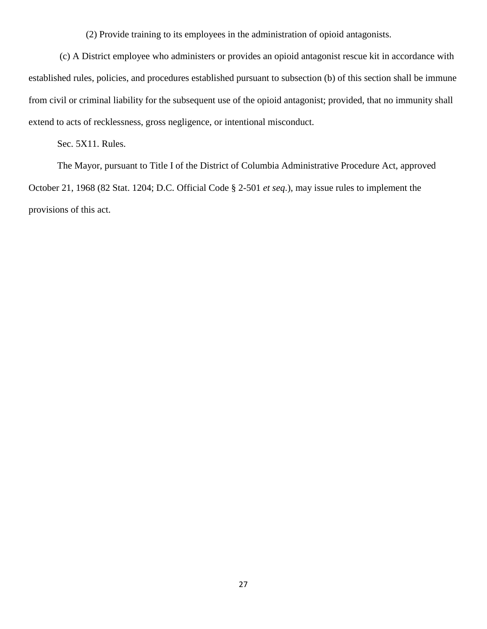(2) Provide training to its employees in the administration of opioid antagonists.

(c) A District employee who administers or provides an opioid antagonist rescue kit in accordance with established rules, policies, and procedures established pursuant to subsection (b) of this section shall be immune from civil or criminal liability for the subsequent use of the opioid antagonist; provided, that no immunity shall extend to acts of recklessness, gross negligence, or intentional misconduct.

Sec. 5X11. Rules.

The Mayor, pursuant to Title I of the District of Columbia Administrative Procedure Act, approved October 21, 1968 (82 Stat. 1204; D.C. Official Code § 2-501 *et seq*.), may issue rules to implement the provisions of this act.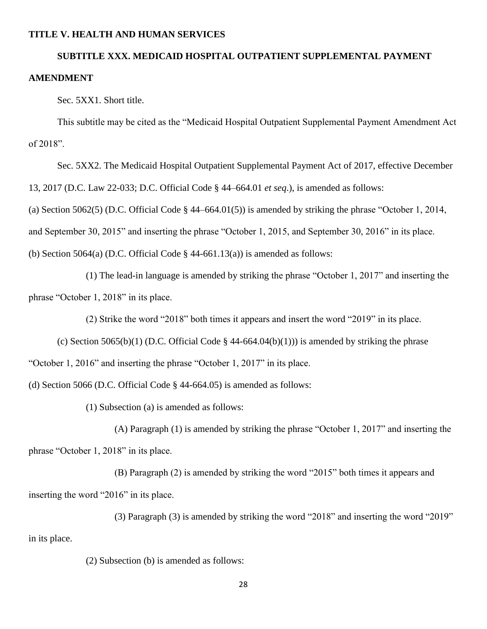# **SUBTITLE XXX. MEDICAID HOSPITAL OUTPATIENT SUPPLEMENTAL PAYMENT AMENDMENT**

Sec. 5XX1. Short title.

This subtitle may be cited as the "Medicaid Hospital Outpatient Supplemental Payment Amendment Act of 2018".

Sec. 5XX2. The Medicaid Hospital Outpatient Supplemental Payment Act of 2017, effective December 13, 2017 (D.C. Law 22-033; D.C. Official Code § 44–664.01 *et seq*.), is amended as follows: (a) Section 5062(5) (D.C. Official Code  $\S$  44–664.01(5)) is amended by striking the phrase "October 1, 2014, and September 30, 2015" and inserting the phrase "October 1, 2015, and September 30, 2016" in its place. (b) Section 5064(a) (D.C. Official Code  $\S$  44-661.13(a)) is amended as follows:

(1) The lead-in language is amended by striking the phrase "October 1, 2017" and inserting the phrase "October 1, 2018" in its place.

(2) Strike the word "2018" both times it appears and insert the word "2019" in its place.

(c) Section 5065(b)(1) (D.C. Official Code  $\S$  44-664.04(b)(1))) is amended by striking the phrase

"October 1, 2016" and inserting the phrase "October 1, 2017" in its place.

(d) Section 5066 (D.C. Official Code § 44-664.05) is amended as follows:

(1) Subsection (a) is amended as follows:

(A) Paragraph (1) is amended by striking the phrase "October 1, 2017" and inserting the

phrase "October 1, 2018" in its place.

(B) Paragraph (2) is amended by striking the word "2015" both times it appears and inserting the word "2016" in its place.

(3) Paragraph (3) is amended by striking the word "2018" and inserting the word "2019"

in its place.

(2) Subsection (b) is amended as follows: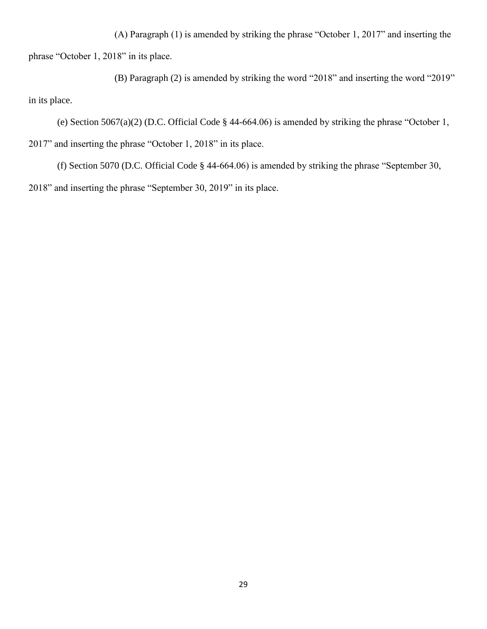(A) Paragraph (1) is amended by striking the phrase "October 1, 2017" and inserting the phrase "October 1, 2018" in its place.

(B) Paragraph (2) is amended by striking the word "2018" and inserting the word "2019" in its place.

(e) Section 5067(a)(2) (D.C. Official Code § 44-664.06) is amended by striking the phrase "October 1, 2017" and inserting the phrase "October 1, 2018" in its place.

(f) Section 5070 (D.C. Official Code § 44-664.06) is amended by striking the phrase "September 30, 2018" and inserting the phrase "September 30, 2019" in its place.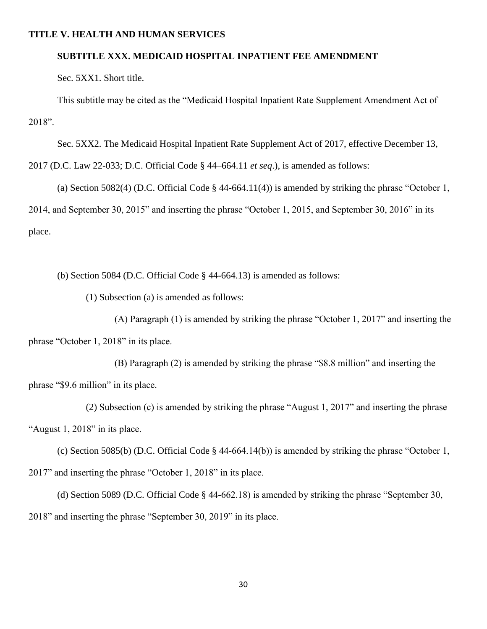#### **SUBTITLE XXX. MEDICAID HOSPITAL INPATIENT FEE AMENDMENT**

Sec. 5XX1. Short title.

This subtitle may be cited as the "Medicaid Hospital Inpatient Rate Supplement Amendment Act of 2018".

Sec. 5XX2. The Medicaid Hospital Inpatient Rate Supplement Act of 2017, effective December 13,

2017 (D.C. Law 22-033; D.C. Official Code § 44–664.11 *et seq*.), is amended as follows:

(a) Section 5082(4) (D.C. Official Code § 44-664.11(4)) is amended by striking the phrase "October 1, 2014, and September 30, 2015" and inserting the phrase "October 1, 2015, and September 30, 2016" in its place.

(b) Section 5084 (D.C. Official Code § 44-664.13) is amended as follows:

(1) Subsection (a) is amended as follows:

(A) Paragraph (1) is amended by striking the phrase "October 1, 2017" and inserting the phrase "October 1, 2018" in its place.

(B) Paragraph (2) is amended by striking the phrase "\$8.8 million" and inserting the phrase "\$9.6 million" in its place.

(2) Subsection (c) is amended by striking the phrase "August 1, 2017" and inserting the phrase "August 1, 2018" in its place.

(c) Section 5085(b) (D.C. Official Code § 44-664.14(b)) is amended by striking the phrase "October 1, 2017" and inserting the phrase "October 1, 2018" in its place.

(d) Section 5089 (D.C. Official Code § 44-662.18) is amended by striking the phrase "September 30, 2018" and inserting the phrase "September 30, 2019" in its place.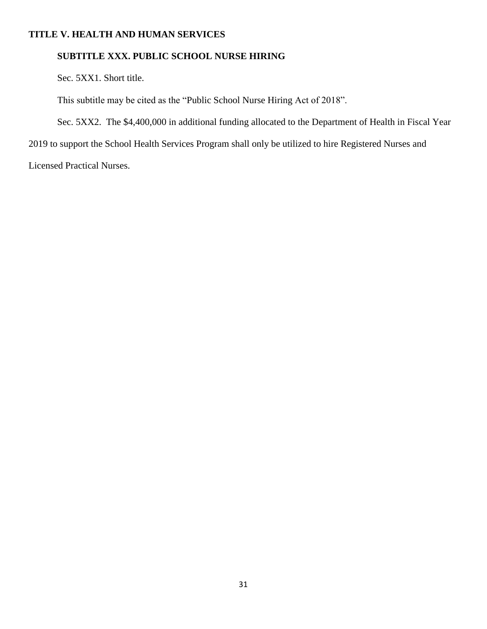### **SUBTITLE XXX. PUBLIC SCHOOL NURSE HIRING**

Sec. 5XX1. Short title.

This subtitle may be cited as the "Public School Nurse Hiring Act of 2018".

Sec. 5XX2. The \$4,400,000 in additional funding allocated to the Department of Health in Fiscal Year

2019 to support the School Health Services Program shall only be utilized to hire Registered Nurses and

Licensed Practical Nurses.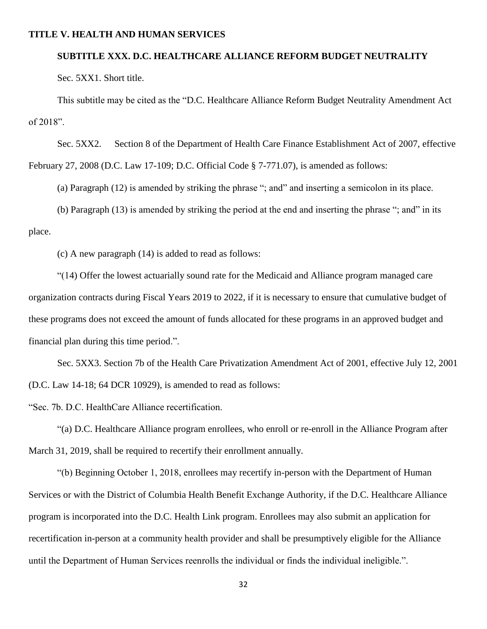#### **SUBTITLE XXX. D.C. HEALTHCARE ALLIANCE REFORM BUDGET NEUTRALITY**

Sec. 5XX1. Short title.

This subtitle may be cited as the "D.C. Healthcare Alliance Reform Budget Neutrality Amendment Act of 2018".

Sec. 5XX2. Section 8 of the Department of Health Care Finance Establishment Act of 2007, effective February 27, 2008 (D.C. Law 17-109; D.C. Official Code § 7-771.07), is amended as follows:

(a) Paragraph (12) is amended by striking the phrase "; and" and inserting a semicolon in its place.

(b) Paragraph (13) is amended by striking the period at the end and inserting the phrase "; and" in its place.

(c) A new paragraph (14) is added to read as follows:

"(14) Offer the lowest actuarially sound rate for the Medicaid and Alliance program managed care organization contracts during Fiscal Years 2019 to 2022, if it is necessary to ensure that cumulative budget of these programs does not exceed the amount of funds allocated for these programs in an approved budget and financial plan during this time period.".

Sec. 5XX3. Section 7b of the Health Care Privatization Amendment Act of 2001, effective July 12, 2001 (D.C. Law 14-18; 64 DCR 10929), is amended to read as follows:

"Sec. 7b. D.C. HealthCare Alliance recertification.

"(a) D.C. Healthcare Alliance program enrollees, who enroll or re-enroll in the Alliance Program after March 31, 2019, shall be required to recertify their enrollment annually.

"(b) Beginning October 1, 2018, enrollees may recertify in-person with the Department of Human Services or with the District of Columbia Health Benefit Exchange Authority, if the D.C. Healthcare Alliance program is incorporated into the D.C. Health Link program. Enrollees may also submit an application for recertification in-person at a community health provider and shall be presumptively eligible for the Alliance until the Department of Human Services reenrolls the individual or finds the individual ineligible.".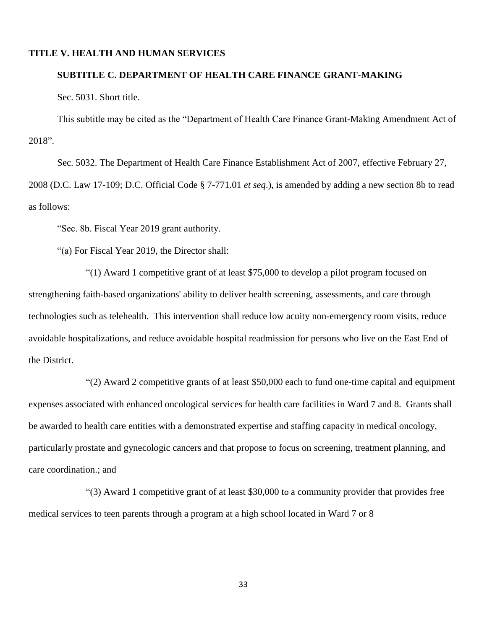# **SUBTITLE C. DEPARTMENT OF HEALTH CARE FINANCE GRANT-MAKING**

Sec. 5031. Short title.

This subtitle may be cited as the "Department of Health Care Finance Grant-Making Amendment Act of 2018".

Sec. 5032. The Department of Health Care Finance Establishment Act of 2007, effective February 27, 2008 (D.C. Law 17-109; D.C. Official Code § 7-771.01 *et seq*.), is amended by adding a new section 8b to read as follows:

"Sec. 8b. Fiscal Year 2019 grant authority.

"(a) For Fiscal Year 2019, the Director shall:

"(1) Award 1 competitive grant of at least \$75,000 to develop a pilot program focused on strengthening faith-based organizations' ability to deliver health screening, assessments, and care through technologies such as telehealth. This intervention shall reduce low acuity non-emergency room visits, reduce avoidable hospitalizations, and reduce avoidable hospital readmission for persons who live on the East End of the District.

"(2) Award 2 competitive grants of at least \$50,000 each to fund one-time capital and equipment expenses associated with enhanced oncological services for health care facilities in Ward 7 and 8. Grants shall be awarded to health care entities with a demonstrated expertise and staffing capacity in medical oncology, particularly prostate and gynecologic cancers and that propose to focus on screening, treatment planning, and care coordination.; and

"(3) Award 1 competitive grant of at least \$30,000 to a community provider that provides free medical services to teen parents through a program at a high school located in Ward 7 or 8